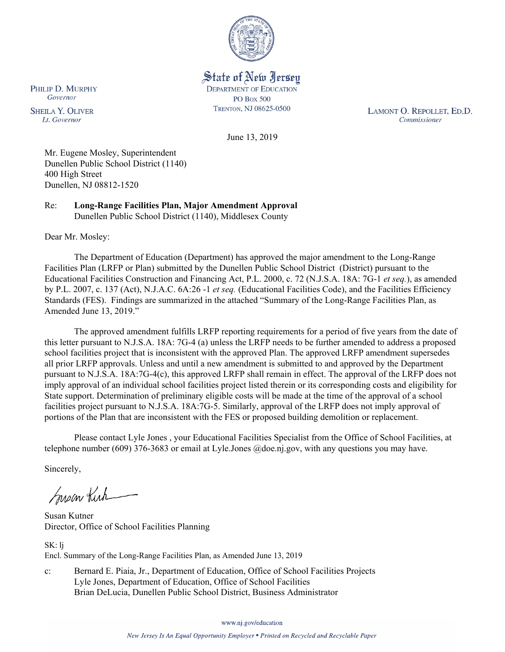

State of New Jersey **DEPARTMENT OF EDUCATION PO Box 500** TRENTON, NJ 08625-0500

LAMONT O. REPOLLET, ED.D. Commissioner

June 13, 2019

Mr. Eugene Mosley, Superintendent Dunellen Public School District (1140) 400 High Street Dunellen, NJ 08812-1520

Re: **Long-Range Facilities Plan, Major Amendment Approval** Dunellen Public School District (1140), Middlesex County

Dear Mr. Mosley:

PHILIP D. MURPHY Governor

**SHEILA Y. OLIVER** 

Lt. Governor

The Department of Education (Department) has approved the major amendment to the Long-Range Facilities Plan (LRFP or Plan) submitted by the Dunellen Public School District (District) pursuant to the Educational Facilities Construction and Financing Act, P.L. 2000, c. 72 (N.J.S.A. 18A: 7G-1 *et seq.*), as amended by P.L. 2007, c. 137 (Act), N.J.A.C. 6A:26 -1 *et seq.* (Educational Facilities Code), and the Facilities Efficiency Standards (FES). Findings are summarized in the attached "Summary of the Long-Range Facilities Plan, as Amended June 13, 2019."

The approved amendment fulfills LRFP reporting requirements for a period of five years from the date of this letter pursuant to N.J.S.A. 18A: 7G-4 (a) unless the LRFP needs to be further amended to address a proposed school facilities project that is inconsistent with the approved Plan. The approved LRFP amendment supersedes all prior LRFP approvals. Unless and until a new amendment is submitted to and approved by the Department pursuant to N.J.S.A. 18A:7G-4(c), this approved LRFP shall remain in effect. The approval of the LRFP does not imply approval of an individual school facilities project listed therein or its corresponding costs and eligibility for State support. Determination of preliminary eligible costs will be made at the time of the approval of a school facilities project pursuant to N.J.S.A. 18A:7G-5. Similarly, approval of the LRFP does not imply approval of portions of the Plan that are inconsistent with the FES or proposed building demolition or replacement.

Please contact Lyle Jones , your Educational Facilities Specialist from the Office of School Facilities, at telephone number (609) 376-3683 or email at Lyle.Jones @doe.nj.gov, with any questions you may have.

Sincerely,

Susan Kirk

Susan Kutner Director, Office of School Facilities Planning

SK: lj Encl. Summary of the Long-Range Facilities Plan, as Amended June 13, 2019

c: Bernard E. Piaia, Jr., Department of Education, Office of School Facilities Projects Lyle Jones, Department of Education, Office of School Facilities Brian DeLucia, Dunellen Public School District, Business Administrator

www.nj.gov/education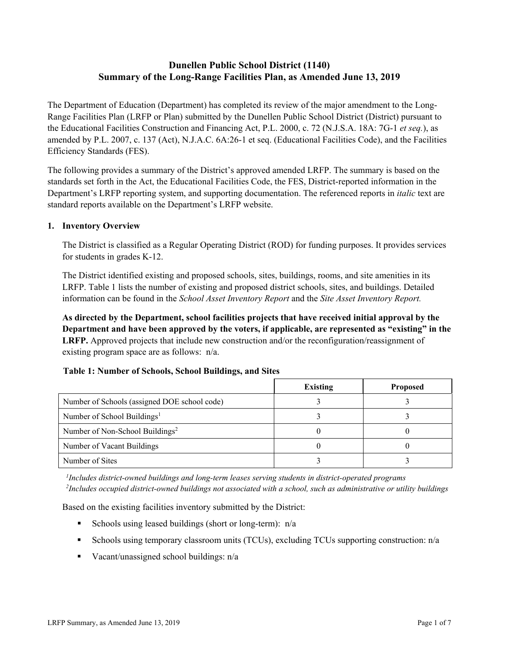# **Dunellen Public School District (1140) Summary of the Long-Range Facilities Plan, as Amended June 13, 2019**

The Department of Education (Department) has completed its review of the major amendment to the Long-Range Facilities Plan (LRFP or Plan) submitted by the Dunellen Public School District (District) pursuant to the Educational Facilities Construction and Financing Act, P.L. 2000, c. 72 (N.J.S.A. 18A: 7G-1 *et seq.*), as amended by P.L. 2007, c. 137 (Act), N.J.A.C. 6A:26-1 et seq. (Educational Facilities Code), and the Facilities Efficiency Standards (FES).

The following provides a summary of the District's approved amended LRFP. The summary is based on the standards set forth in the Act, the Educational Facilities Code, the FES, District-reported information in the Department's LRFP reporting system, and supporting documentation. The referenced reports in *italic* text are standard reports available on the Department's LRFP website.

### **1. Inventory Overview**

The District is classified as a Regular Operating District (ROD) for funding purposes. It provides services for students in grades K-12.

The District identified existing and proposed schools, sites, buildings, rooms, and site amenities in its LRFP. Table 1 lists the number of existing and proposed district schools, sites, and buildings. Detailed information can be found in the *School Asset Inventory Report* and the *Site Asset Inventory Report.*

**As directed by the Department, school facilities projects that have received initial approval by the Department and have been approved by the voters, if applicable, are represented as "existing" in the LRFP.** Approved projects that include new construction and/or the reconfiguration/reassignment of existing program space are as follows: n/a.

### **Table 1: Number of Schools, School Buildings, and Sites**

|                                              | <b>Existing</b> | <b>Proposed</b> |
|----------------------------------------------|-----------------|-----------------|
| Number of Schools (assigned DOE school code) |                 |                 |
| Number of School Buildings <sup>1</sup>      |                 |                 |
| Number of Non-School Buildings <sup>2</sup>  |                 |                 |
| Number of Vacant Buildings                   |                 |                 |
| Number of Sites                              |                 |                 |

*1 Includes district-owned buildings and long-term leases serving students in district-operated programs 2 Includes occupied district-owned buildings not associated with a school, such as administrative or utility buildings*

Based on the existing facilities inventory submitted by the District:

- Schools using leased buildings (short or long-term):  $n/a$
- Schools using temporary classroom units (TCUs), excluding TCUs supporting construction: n/a
- Vacant/unassigned school buildings:  $n/a$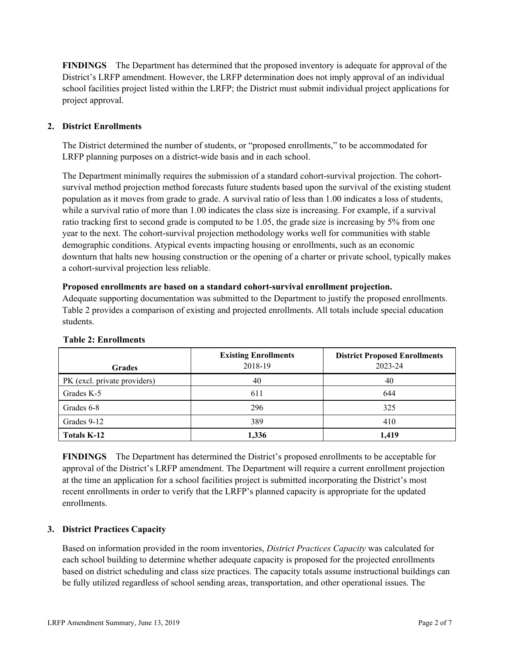**FINDINGS** The Department has determined that the proposed inventory is adequate for approval of the District's LRFP amendment. However, the LRFP determination does not imply approval of an individual school facilities project listed within the LRFP; the District must submit individual project applications for project approval.

# **2. District Enrollments**

The District determined the number of students, or "proposed enrollments," to be accommodated for LRFP planning purposes on a district-wide basis and in each school.

The Department minimally requires the submission of a standard cohort-survival projection. The cohortsurvival method projection method forecasts future students based upon the survival of the existing student population as it moves from grade to grade. A survival ratio of less than 1.00 indicates a loss of students, while a survival ratio of more than 1.00 indicates the class size is increasing. For example, if a survival ratio tracking first to second grade is computed to be 1.05, the grade size is increasing by 5% from one year to the next. The cohort-survival projection methodology works well for communities with stable demographic conditions. Atypical events impacting housing or enrollments, such as an economic downturn that halts new housing construction or the opening of a charter or private school, typically makes a cohort-survival projection less reliable.

#### **Proposed enrollments are based on a standard cohort-survival enrollment projection.**

Adequate supporting documentation was submitted to the Department to justify the proposed enrollments. Table 2 provides a comparison of existing and projected enrollments. All totals include special education students.

| <b>Grades</b>                | <b>Existing Enrollments</b><br>2018-19 | <b>District Proposed Enrollments</b><br>2023-24 |
|------------------------------|----------------------------------------|-------------------------------------------------|
| PK (excl. private providers) | 40                                     | 40                                              |
| Grades K-5                   | 611                                    | 644                                             |
| Grades 6-8                   | 296                                    | 325                                             |
| Grades 9-12                  | 389                                    | 410                                             |
| Totals K-12                  | 1,336                                  | 1,419                                           |

#### **Table 2: Enrollments**

**FINDINGS** The Department has determined the District's proposed enrollments to be acceptable for approval of the District's LRFP amendment. The Department will require a current enrollment projection at the time an application for a school facilities project is submitted incorporating the District's most recent enrollments in order to verify that the LRFP's planned capacity is appropriate for the updated enrollments.

# **3. District Practices Capacity**

Based on information provided in the room inventories, *District Practices Capacity* was calculated for each school building to determine whether adequate capacity is proposed for the projected enrollments based on district scheduling and class size practices. The capacity totals assume instructional buildings can be fully utilized regardless of school sending areas, transportation, and other operational issues. The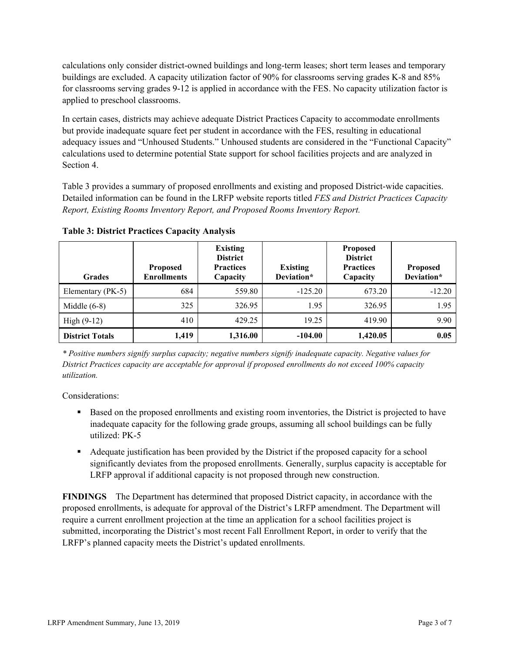calculations only consider district-owned buildings and long-term leases; short term leases and temporary buildings are excluded. A capacity utilization factor of 90% for classrooms serving grades K-8 and 85% for classrooms serving grades 9-12 is applied in accordance with the FES. No capacity utilization factor is applied to preschool classrooms.

In certain cases, districts may achieve adequate District Practices Capacity to accommodate enrollments but provide inadequate square feet per student in accordance with the FES, resulting in educational adequacy issues and "Unhoused Students." Unhoused students are considered in the "Functional Capacity" calculations used to determine potential State support for school facilities projects and are analyzed in Section 4.

Table 3 provides a summary of proposed enrollments and existing and proposed District-wide capacities. Detailed information can be found in the LRFP website reports titled *FES and District Practices Capacity Report, Existing Rooms Inventory Report, and Proposed Rooms Inventory Report.*

| <b>Grades</b>          | <b>Proposed</b><br><b>Enrollments</b> | <b>Existing</b><br><b>District</b><br><b>Practices</b><br>Capacity | <b>Existing</b><br>Deviation* | <b>Proposed</b><br><b>District</b><br><b>Practices</b><br>Capacity | <b>Proposed</b><br>Deviation* |
|------------------------|---------------------------------------|--------------------------------------------------------------------|-------------------------------|--------------------------------------------------------------------|-------------------------------|
| Elementary (PK-5)      | 684                                   | 559.80                                                             | $-125.20$                     | 673.20                                                             | $-12.20$                      |
| Middle $(6-8)$         | 325                                   | 326.95                                                             | 1.95                          | 326.95                                                             | 1.95                          |
| High $(9-12)$          | 410                                   | 429.25                                                             | 19.25                         | 419.90                                                             | 9.90                          |
| <b>District Totals</b> | 1,419                                 | 1,316.00                                                           | $-104.00$                     | 1,420.05                                                           | 0.05                          |

**Table 3: District Practices Capacity Analysis**

*\* Positive numbers signify surplus capacity; negative numbers signify inadequate capacity. Negative values for District Practices capacity are acceptable for approval if proposed enrollments do not exceed 100% capacity utilization.*

Considerations:

- Based on the proposed enrollments and existing room inventories, the District is projected to have inadequate capacity for the following grade groups, assuming all school buildings can be fully utilized: PK-5
- Adequate justification has been provided by the District if the proposed capacity for a school significantly deviates from the proposed enrollments. Generally, surplus capacity is acceptable for LRFP approval if additional capacity is not proposed through new construction.

**FINDINGS**The Department has determined that proposed District capacity, in accordance with the proposed enrollments, is adequate for approval of the District's LRFP amendment. The Department will require a current enrollment projection at the time an application for a school facilities project is submitted, incorporating the District's most recent Fall Enrollment Report, in order to verify that the LRFP's planned capacity meets the District's updated enrollments.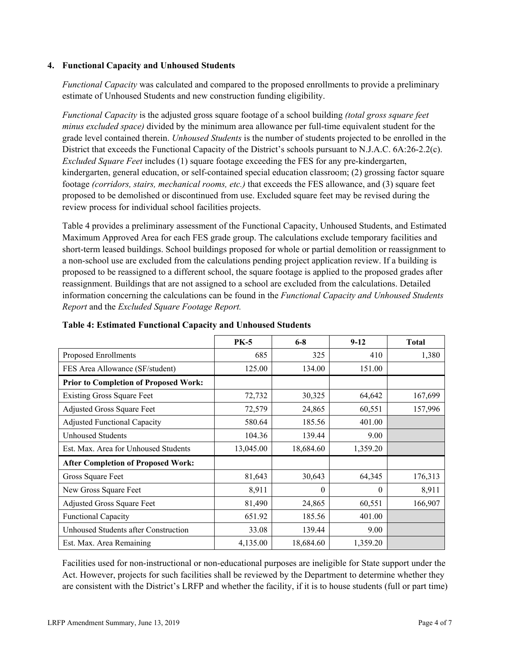### **4. Functional Capacity and Unhoused Students**

*Functional Capacity* was calculated and compared to the proposed enrollments to provide a preliminary estimate of Unhoused Students and new construction funding eligibility.

*Functional Capacity* is the adjusted gross square footage of a school building *(total gross square feet minus excluded space)* divided by the minimum area allowance per full-time equivalent student for the grade level contained therein. *Unhoused Students* is the number of students projected to be enrolled in the District that exceeds the Functional Capacity of the District's schools pursuant to N.J.A.C. 6A:26-2.2(c). *Excluded Square Feet* includes (1) square footage exceeding the FES for any pre-kindergarten, kindergarten, general education, or self-contained special education classroom; (2) grossing factor square footage *(corridors, stairs, mechanical rooms, etc.)* that exceeds the FES allowance, and (3) square feet proposed to be demolished or discontinued from use. Excluded square feet may be revised during the review process for individual school facilities projects.

Table 4 provides a preliminary assessment of the Functional Capacity, Unhoused Students, and Estimated Maximum Approved Area for each FES grade group. The calculations exclude temporary facilities and short-term leased buildings. School buildings proposed for whole or partial demolition or reassignment to a non-school use are excluded from the calculations pending project application review. If a building is proposed to be reassigned to a different school, the square footage is applied to the proposed grades after reassignment. Buildings that are not assigned to a school are excluded from the calculations. Detailed information concerning the calculations can be found in the *Functional Capacity and Unhoused Students Report* and the *Excluded Square Footage Report.*

|                                              | <b>PK-5</b> | $6 - 8$   | $9 - 12$ | <b>Total</b> |
|----------------------------------------------|-------------|-----------|----------|--------------|
| Proposed Enrollments                         | 685         | 325       | 410      | 1,380        |
| FES Area Allowance (SF/student)              | 125.00      | 134.00    | 151.00   |              |
| <b>Prior to Completion of Proposed Work:</b> |             |           |          |              |
| <b>Existing Gross Square Feet</b>            | 72,732      | 30,325    | 64,642   | 167,699      |
| Adjusted Gross Square Feet                   | 72,579      | 24,865    | 60,551   | 157,996      |
| <b>Adjusted Functional Capacity</b>          | 580.64      | 185.56    | 401.00   |              |
| <b>Unhoused Students</b>                     | 104.36      | 139.44    | 9.00     |              |
| Est. Max. Area for Unhoused Students         | 13,045.00   | 18,684.60 | 1,359.20 |              |
| <b>After Completion of Proposed Work:</b>    |             |           |          |              |
| Gross Square Feet                            | 81,643      | 30,643    | 64,345   | 176,313      |
| New Gross Square Feet                        | 8,911       | $\theta$  | $\theta$ | 8,911        |
| Adjusted Gross Square Feet                   | 81,490      | 24,865    | 60,551   | 166,907      |
| <b>Functional Capacity</b>                   | 651.92      | 185.56    | 401.00   |              |
| Unhoused Students after Construction         | 33.08       | 139.44    | 9.00     |              |
| Est. Max. Area Remaining                     | 4,135.00    | 18,684.60 | 1,359.20 |              |

**Table 4: Estimated Functional Capacity and Unhoused Students** 

Facilities used for non-instructional or non-educational purposes are ineligible for State support under the Act. However, projects for such facilities shall be reviewed by the Department to determine whether they are consistent with the District's LRFP and whether the facility, if it is to house students (full or part time)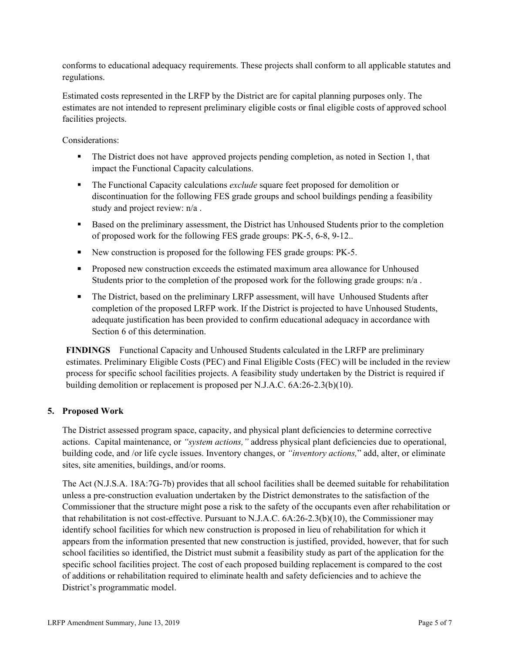conforms to educational adequacy requirements. These projects shall conform to all applicable statutes and regulations.

Estimated costs represented in the LRFP by the District are for capital planning purposes only. The estimates are not intended to represent preliminary eligible costs or final eligible costs of approved school facilities projects.

Considerations:

- The District does not have approved projects pending completion, as noted in Section 1, that impact the Functional Capacity calculations.
- The Functional Capacity calculations *exclude* square feet proposed for demolition or discontinuation for the following FES grade groups and school buildings pending a feasibility study and project review: n/a .
- Based on the preliminary assessment, the District has Unhoused Students prior to the completion of proposed work for the following FES grade groups: PK-5, 6-8, 9-12..
- New construction is proposed for the following FES grade groups: PK-5.
- **Proposed new construction exceeds the estimated maximum area allowance for Unhoused** Students prior to the completion of the proposed work for the following grade groups: n/a .
- The District, based on the preliminary LRFP assessment, will have Unhoused Students after completion of the proposed LRFP work. If the District is projected to have Unhoused Students, adequate justification has been provided to confirm educational adequacy in accordance with Section 6 of this determination.

**FINDINGS** Functional Capacity and Unhoused Students calculated in the LRFP are preliminary estimates. Preliminary Eligible Costs (PEC) and Final Eligible Costs (FEC) will be included in the review process for specific school facilities projects. A feasibility study undertaken by the District is required if building demolition or replacement is proposed per N.J.A.C. 6A:26-2.3(b)(10).

# **5. Proposed Work**

The District assessed program space, capacity, and physical plant deficiencies to determine corrective actions. Capital maintenance, or *"system actions,"* address physical plant deficiencies due to operational, building code, and /or life cycle issues. Inventory changes, or *"inventory actions,*" add, alter, or eliminate sites, site amenities, buildings, and/or rooms.

The Act (N.J.S.A. 18A:7G-7b) provides that all school facilities shall be deemed suitable for rehabilitation unless a pre-construction evaluation undertaken by the District demonstrates to the satisfaction of the Commissioner that the structure might pose a risk to the safety of the occupants even after rehabilitation or that rehabilitation is not cost-effective. Pursuant to N.J.A.C. 6A:26-2.3(b)(10), the Commissioner may identify school facilities for which new construction is proposed in lieu of rehabilitation for which it appears from the information presented that new construction is justified, provided, however, that for such school facilities so identified, the District must submit a feasibility study as part of the application for the specific school facilities project. The cost of each proposed building replacement is compared to the cost of additions or rehabilitation required to eliminate health and safety deficiencies and to achieve the District's programmatic model.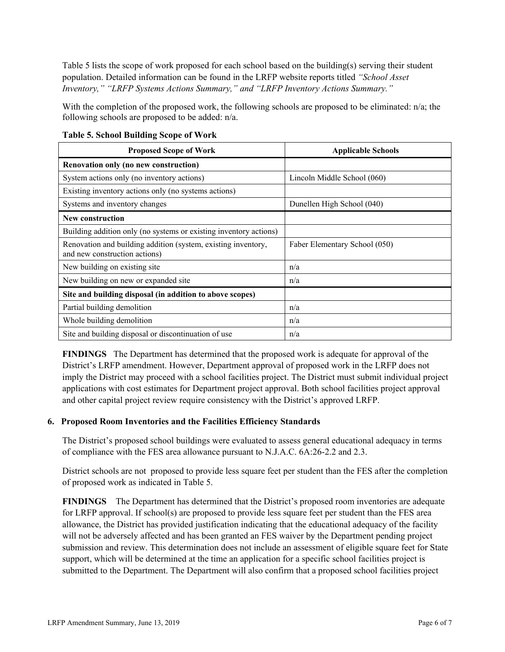Table 5 lists the scope of work proposed for each school based on the building(s) serving their student population. Detailed information can be found in the LRFP website reports titled *"School Asset Inventory," "LRFP Systems Actions Summary," and "LRFP Inventory Actions Summary."*

With the completion of the proposed work, the following schools are proposed to be eliminated: n/a; the following schools are proposed to be added: n/a.

| <b>Proposed Scope of Work</b>                                                                  | <b>Applicable Schools</b>     |
|------------------------------------------------------------------------------------------------|-------------------------------|
| Renovation only (no new construction)                                                          |                               |
| System actions only (no inventory actions)                                                     | Lincoln Middle School (060)   |
| Existing inventory actions only (no systems actions)                                           |                               |
| Systems and inventory changes                                                                  | Dunellen High School (040)    |
| <b>New construction</b>                                                                        |                               |
| Building addition only (no systems or existing inventory actions)                              |                               |
| Renovation and building addition (system, existing inventory,<br>and new construction actions) | Faber Elementary School (050) |
| New building on existing site                                                                  | n/a                           |
| New building on new or expanded site                                                           | n/a                           |
| Site and building disposal (in addition to above scopes)                                       |                               |
| Partial building demolition                                                                    | n/a                           |
| Whole building demolition                                                                      | n/a                           |
| Site and building disposal or discontinuation of use                                           | n/a                           |

**Table 5. School Building Scope of Work**

**FINDINGS** The Department has determined that the proposed work is adequate for approval of the District's LRFP amendment. However, Department approval of proposed work in the LRFP does not imply the District may proceed with a school facilities project. The District must submit individual project applications with cost estimates for Department project approval. Both school facilities project approval and other capital project review require consistency with the District's approved LRFP.

# **6. Proposed Room Inventories and the Facilities Efficiency Standards**

The District's proposed school buildings were evaluated to assess general educational adequacy in terms of compliance with the FES area allowance pursuant to N.J.A.C. 6A:26-2.2 and 2.3.

District schools are not proposed to provide less square feet per student than the FES after the completion of proposed work as indicated in Table 5.

**FINDINGS** The Department has determined that the District's proposed room inventories are adequate for LRFP approval. If school(s) are proposed to provide less square feet per student than the FES area allowance, the District has provided justification indicating that the educational adequacy of the facility will not be adversely affected and has been granted an FES waiver by the Department pending project submission and review. This determination does not include an assessment of eligible square feet for State support, which will be determined at the time an application for a specific school facilities project is submitted to the Department. The Department will also confirm that a proposed school facilities project